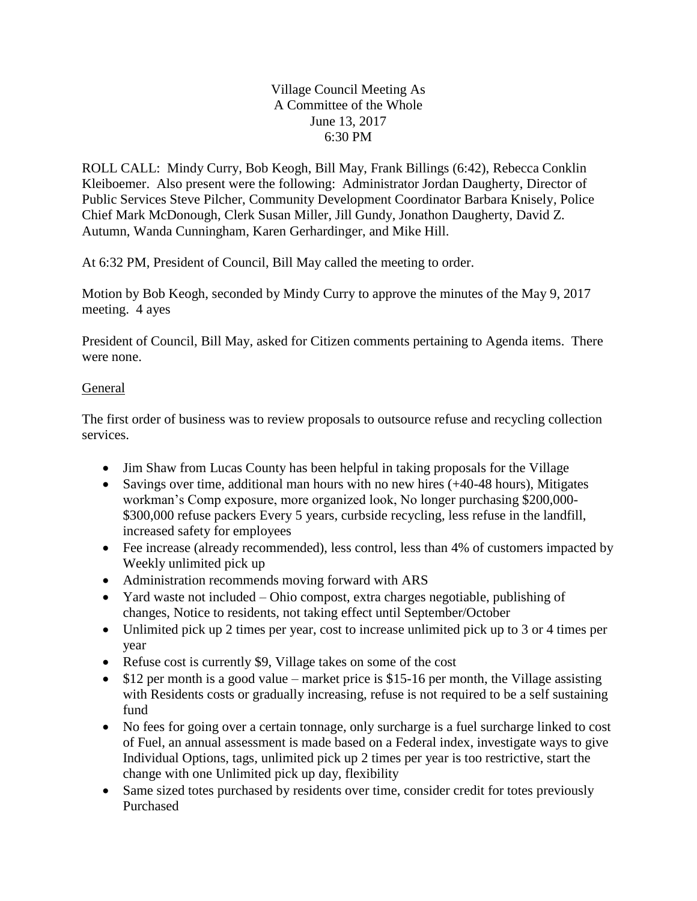## Village Council Meeting As A Committee of the Whole June 13, 2017 6:30 PM

ROLL CALL: Mindy Curry, Bob Keogh, Bill May, Frank Billings (6:42), Rebecca Conklin Kleiboemer. Also present were the following: Administrator Jordan Daugherty, Director of Public Services Steve Pilcher, Community Development Coordinator Barbara Knisely, Police Chief Mark McDonough, Clerk Susan Miller, Jill Gundy, Jonathon Daugherty, David Z. Autumn, Wanda Cunningham, Karen Gerhardinger, and Mike Hill.

At 6:32 PM, President of Council, Bill May called the meeting to order.

Motion by Bob Keogh, seconded by Mindy Curry to approve the minutes of the May 9, 2017 meeting. 4 ayes

President of Council, Bill May, asked for Citizen comments pertaining to Agenda items. There were none.

## **General**

The first order of business was to review proposals to outsource refuse and recycling collection services.

- Jim Shaw from Lucas County has been helpful in taking proposals for the Village
- Savings over time, additional man hours with no new hires (+40-48 hours), Mitigates workman's Comp exposure, more organized look, No longer purchasing \$200,000- \$300,000 refuse packers Every 5 years, curbside recycling, less refuse in the landfill, increased safety for employees
- Fee increase (already recommended), less control, less than 4% of customers impacted by Weekly unlimited pick up
- Administration recommends moving forward with ARS
- Yard waste not included Ohio compost, extra charges negotiable, publishing of changes, Notice to residents, not taking effect until September/October
- Unlimited pick up 2 times per year, cost to increase unlimited pick up to 3 or 4 times per year
- Refuse cost is currently \$9, Village takes on some of the cost
- $\bullet$  \$12 per month is a good value market price is \$15-16 per month, the Village assisting with Residents costs or gradually increasing, refuse is not required to be a self sustaining fund
- No fees for going over a certain tonnage, only surcharge is a fuel surcharge linked to cost of Fuel, an annual assessment is made based on a Federal index, investigate ways to give Individual Options, tags, unlimited pick up 2 times per year is too restrictive, start the change with one Unlimited pick up day, flexibility
- Same sized totes purchased by residents over time, consider credit for totes previously Purchased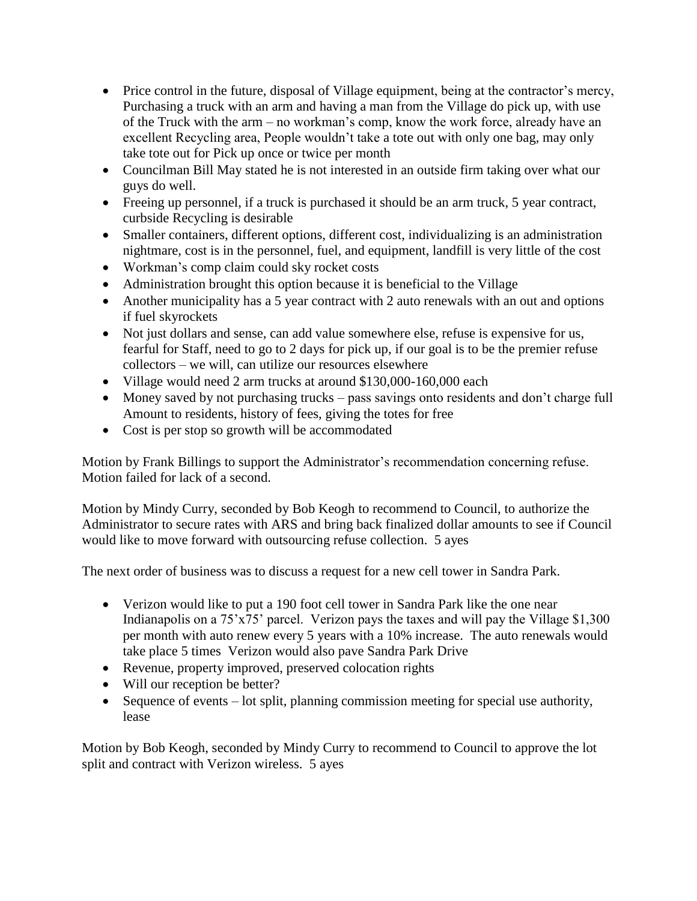- Price control in the future, disposal of Village equipment, being at the contractor's mercy, Purchasing a truck with an arm and having a man from the Village do pick up, with use of the Truck with the arm – no workman's comp, know the work force, already have an excellent Recycling area, People wouldn't take a tote out with only one bag, may only take tote out for Pick up once or twice per month
- Councilman Bill May stated he is not interested in an outside firm taking over what our guys do well.
- Freeing up personnel, if a truck is purchased it should be an arm truck, 5 year contract, curbside Recycling is desirable
- Smaller containers, different options, different cost, individualizing is an administration nightmare, cost is in the personnel, fuel, and equipment, landfill is very little of the cost
- Workman's comp claim could sky rocket costs
- Administration brought this option because it is beneficial to the Village
- Another municipality has a 5 year contract with 2 auto renewals with an out and options if fuel skyrockets
- Not just dollars and sense, can add value somewhere else, refuse is expensive for us, fearful for Staff, need to go to 2 days for pick up, if our goal is to be the premier refuse collectors – we will, can utilize our resources elsewhere
- Village would need 2 arm trucks at around \$130,000-160,000 each
- Money saved by not purchasing trucks pass savings onto residents and don't charge full Amount to residents, history of fees, giving the totes for free
- Cost is per stop so growth will be accommodated

Motion by Frank Billings to support the Administrator's recommendation concerning refuse. Motion failed for lack of a second.

Motion by Mindy Curry, seconded by Bob Keogh to recommend to Council, to authorize the Administrator to secure rates with ARS and bring back finalized dollar amounts to see if Council would like to move forward with outsourcing refuse collection. 5 ayes

The next order of business was to discuss a request for a new cell tower in Sandra Park.

- Verizon would like to put a 190 foot cell tower in Sandra Park like the one near Indianapolis on a 75'x75' parcel. Verizon pays the taxes and will pay the Village \$1,300 per month with auto renew every 5 years with a 10% increase. The auto renewals would take place 5 times Verizon would also pave Sandra Park Drive
- Revenue, property improved, preserved colocation rights
- Will our reception be better?
- Sequence of events lot split, planning commission meeting for special use authority, lease

Motion by Bob Keogh, seconded by Mindy Curry to recommend to Council to approve the lot split and contract with Verizon wireless. 5 ayes